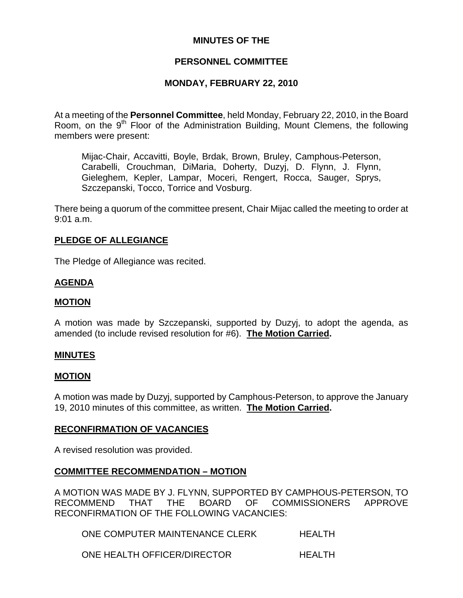# **MINUTES OF THE**

# **PERSONNEL COMMITTEE**

# **MONDAY, FEBRUARY 22, 2010**

At a meeting of the **Personnel Committee**, held Monday, February 22, 2010, in the Board Room, on the 9<sup>th</sup> Floor of the Administration Building, Mount Clemens, the following members were present:

Mijac-Chair, Accavitti, Boyle, Brdak, Brown, Bruley, Camphous-Peterson, Carabelli, Crouchman, DiMaria, Doherty, Duzyj, D. Flynn, J. Flynn, Gieleghem, Kepler, Lampar, Moceri, Rengert, Rocca, Sauger, Sprys, Szczepanski, Tocco, Torrice and Vosburg.

There being a quorum of the committee present, Chair Mijac called the meeting to order at 9:01 a.m.

### **PLEDGE OF ALLEGIANCE**

The Pledge of Allegiance was recited.

# **AGENDA**

### **MOTION**

A motion was made by Szczepanski, supported by Duzyj, to adopt the agenda, as amended (to include revised resolution for #6). **The Motion Carried.** 

#### **MINUTES**

#### **MOTION**

A motion was made by Duzyj, supported by Camphous-Peterson, to approve the January 19, 2010 minutes of this committee, as written. **The Motion Carried.** 

#### **RECONFIRMATION OF VACANCIES**

A revised resolution was provided.

# **COMMITTEE RECOMMENDATION – MOTION**

A MOTION WAS MADE BY J. FLYNN, SUPPORTED BY CAMPHOUS-PETERSON, TO RECOMMEND THAT THE BOARD OF COMMISSIONERS APPROVE RECONFIRMATION OF THE FOLLOWING VACANCIES:

ONE COMPUTER MAINTENANCE CLERK HEALTH

ONE HEALTH OFFICER/DIRECTOR HEALTH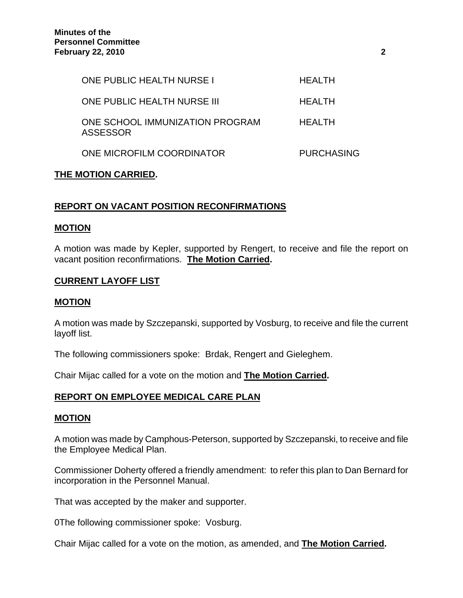| <b>ONE PUBLIC HEALTH NURSE I</b>            | HFAI TH           |
|---------------------------------------------|-------------------|
| <b>ONE PUBLIC HEALTH NURSE III</b>          | <b>HEALTH</b>     |
| ONE SCHOOL IMMUNIZATION PROGRAM<br>ASSESSOR | HFAI TH           |
| ONE MICROFILM COORDINATOR                   | <b>PURCHASING</b> |

# **THE MOTION CARRIED.**

# **REPORT ON VACANT POSITION RECONFIRMATIONS**

### **MOTION**

A motion was made by Kepler, supported by Rengert, to receive and file the report on vacant position reconfirmations. **The Motion Carried.** 

# **CURRENT LAYOFF LIST**

### **MOTION**

A motion was made by Szczepanski, supported by Vosburg, to receive and file the current layoff list.

The following commissioners spoke: Brdak, Rengert and Gieleghem.

Chair Mijac called for a vote on the motion and **The Motion Carried.** 

# **REPORT ON EMPLOYEE MEDICAL CARE PLAN**

#### **MOTION**

A motion was made by Camphous-Peterson, supported by Szczepanski, to receive and file the Employee Medical Plan.

Commissioner Doherty offered a friendly amendment: to refer this plan to Dan Bernard for incorporation in the Personnel Manual.

That was accepted by the maker and supporter.

0The following commissioner spoke: Vosburg.

Chair Mijac called for a vote on the motion, as amended, and **The Motion Carried.**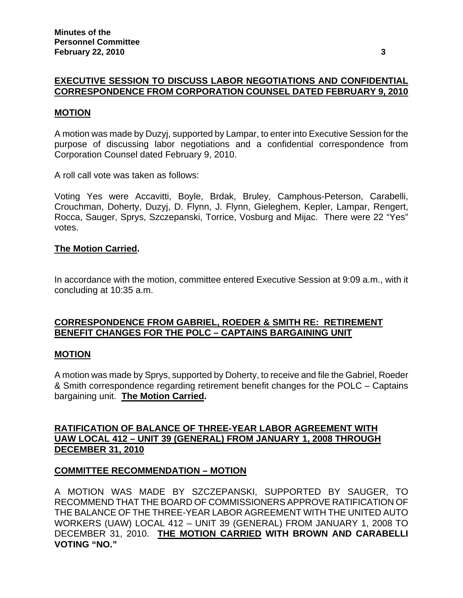# **EXECUTIVE SESSION TO DISCUSS LABOR NEGOTIATIONS AND CONFIDENTIAL CORRESPONDENCE FROM CORPORATION COUNSEL DATED FEBRUARY 9, 2010**

#### **MOTION**

A motion was made by Duzyj, supported by Lampar, to enter into Executive Session for the purpose of discussing labor negotiations and a confidential correspondence from Corporation Counsel dated February 9, 2010.

A roll call vote was taken as follows:

Voting Yes were Accavitti, Boyle, Brdak, Bruley, Camphous-Peterson, Carabelli, Crouchman, Doherty, Duzyj, D. Flynn, J. Flynn, Gieleghem, Kepler, Lampar, Rengert, Rocca, Sauger, Sprys, Szczepanski, Torrice, Vosburg and Mijac. There were 22 "Yes" votes.

### **The Motion Carried.**

In accordance with the motion, committee entered Executive Session at 9:09 a.m., with it concluding at 10:35 a.m.

# **CORRESPONDENCE FROM GABRIEL, ROEDER & SMITH RE: RETIREMENT BENEFIT CHANGES FOR THE POLC – CAPTAINS BARGAINING UNIT**

# **MOTION**

A motion was made by Sprys, supported by Doherty, to receive and file the Gabriel, Roeder & Smith correspondence regarding retirement benefit changes for the POLC – Captains bargaining unit. **The Motion Carried.** 

# **RATIFICATION OF BALANCE OF THREE-YEAR LABOR AGREEMENT WITH UAW LOCAL 412 – UNIT 39 (GENERAL) FROM JANUARY 1, 2008 THROUGH DECEMBER 31, 2010**

# **COMMITTEE RECOMMENDATION – MOTION**

A MOTION WAS MADE BY SZCZEPANSKI, SUPPORTED BY SAUGER, TO RECOMMEND THAT THE BOARD OF COMMISSIONERS APPROVE RATIFICATION OF THE BALANCE OF THE THREE-YEAR LABOR AGREEMENT WITH THE UNITED AUTO WORKERS (UAW) LOCAL 412 – UNIT 39 (GENERAL) FROM JANUARY 1, 2008 TO DECEMBER 31, 2010. **THE MOTION CARRIED WITH BROWN AND CARABELLI VOTING "NO."**